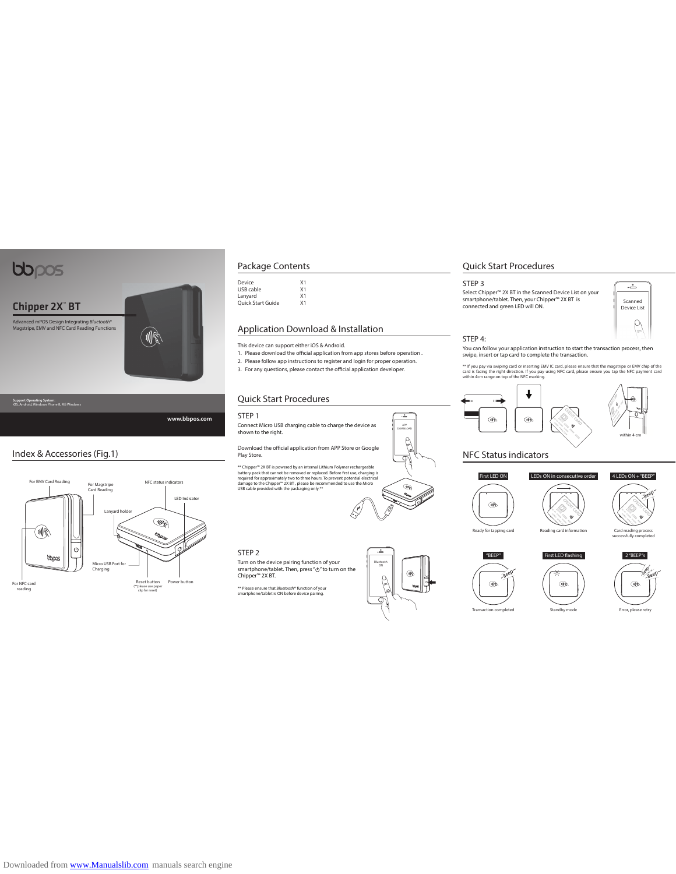# bbpos

Chipper 2X" BT

Advanced mPOS Design Integrating Bluetooth® Magstripe, EMV and NFC Card Reading Functions



**Support Operating System:** iOS, Android, Windows Phone 8, MS Windows

**www.bbpos.com**

# Index & Accessories (Fig.1)



# Package Contents

Device X1 USB cable X1 Lanyard X1 Quick Start Guide X1

### Application Download & Installation

This device can support either iOS & Android.<br>1. Please download the official application from app stores before operation .

2. Please follow app instructions to register and login for proper operation.

3. For any questions, please contact the official application developer.

# Quick Start Procedures

STEP 1

Connect Micro USB charging cable to charge the device as shown to the right.

Download the official application from APP Store or Google<br>Play Store.

\*\* Chipper<sup>38</sup> 2X BT is powered by an internal Lithium Polymer rechargeable<br>battery pack that cannot be removed or replaced. Before first use, charging is<br>required for approximately two to three hours. To prevent potential



Quick Start Procedures

#### STEP 3

Select Chipper™ 2X BT in the Scanned Device List on your smartphone/tablet. Then, your Chipper™ 2X BT is connected and green LED will ON.



# STEP 4:

You can follow your application instruction to start the transaction process, then swipe, insert or tap card to complete the transaction.

\*\* If you pay via swiping card or inserting EMV IC card, please ensure that the magstripe or EMV chip of the<br>card is facing the right direction. If you pay using NFC card, please ensure you tap the NFC payment card<br>within



# NFC Status indicators



4 LEDs ON + "BEEP"

Card reading process successfully completed

within 4 cm



Reading card information First LED flashing



STEP 2

Turn on the device pairing function of your<br>smartphone/tablet. Then, press "ひ" to turn on the Chipper™ 2X BT.

\*\* Please ensure that Bluetooth**®** function of your smartphone/tablet is ON before device pairing.



APP<br>DOWNLOAD

 $\mathbb{R}$ ₹

**SER** 

 $\overline{\phantom{a}}$ 



**OR** Standby mode

Error, please retry